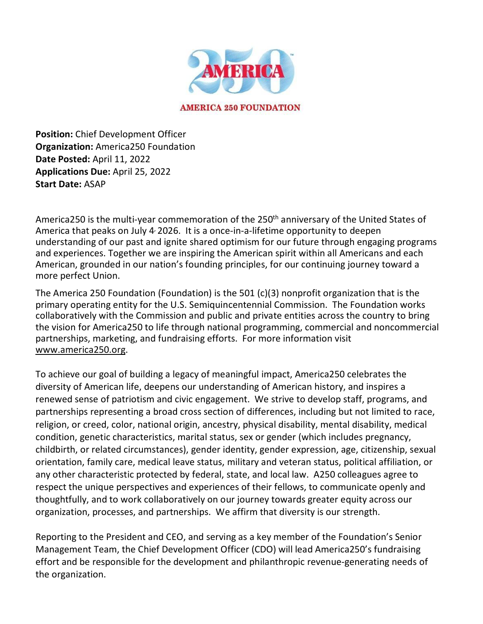

**Position:** Chief Development Officer **Organization:** America250 Foundation **Date Posted:** April 11, 2022 **Applications Due:** April 25, 2022 **Start Date:** ASAP

America250 is the multi-year commemoration of the 250<sup>th</sup> anniversary of the United States of America that peaks on July 4, 2026. It is a once-in-a-lifetime opportunity to deepen understanding of our past and ignite shared optimism for our future through engaging programs and experiences. Together we are inspiring the American spirit within all Americans and each American, grounded in our nation's founding principles, for our continuing journey toward a more perfect Union.

The America 250 Foundation (Foundation) is the 501 (c)(3) nonprofit organization that is the primary operating entity for the U.S. Semiquincentennial Commission. The Foundation works collaboratively with the Commission and public and private entities across the country to bring the vision for America250 to life through national programming, commercial and noncommercial partnerships, marketing, and fundraising efforts. For more information visit www.america250.org.

To achieve our goal of building a legacy of meaningful impact, America250 celebrates the diversity of American life, deepens our understanding of American history, and inspires a renewed sense of patriotism and civic engagement. We strive to develop staff, programs, and partnerships representing a broad cross section of differences, including but not limited to race, religion, or creed, color, national origin, ancestry, physical disability, mental disability, medical condition, genetic characteristics, marital status, sex or gender (which includes pregnancy, childbirth, or related circumstances), gender identity, gender expression, age, citizenship, sexual orientation, family care, medical leave status, military and veteran status, political affiliation, or any other characteristic protected by federal, state, and local law. A250 colleagues agree to respect the unique perspectives and experiences of their fellows, to communicate openly and thoughtfully, and to work collaboratively on our journey towards greater equity across our organization, processes, and partnerships. We affirm that diversity is our strength.

Reporting to the President and CEO, and serving as a key member of the Foundation's Senior Management Team, the Chief Development Officer (CDO) will lead America250's fundraising effort and be responsible for the development and philanthropic revenue-generating needs of the organization.